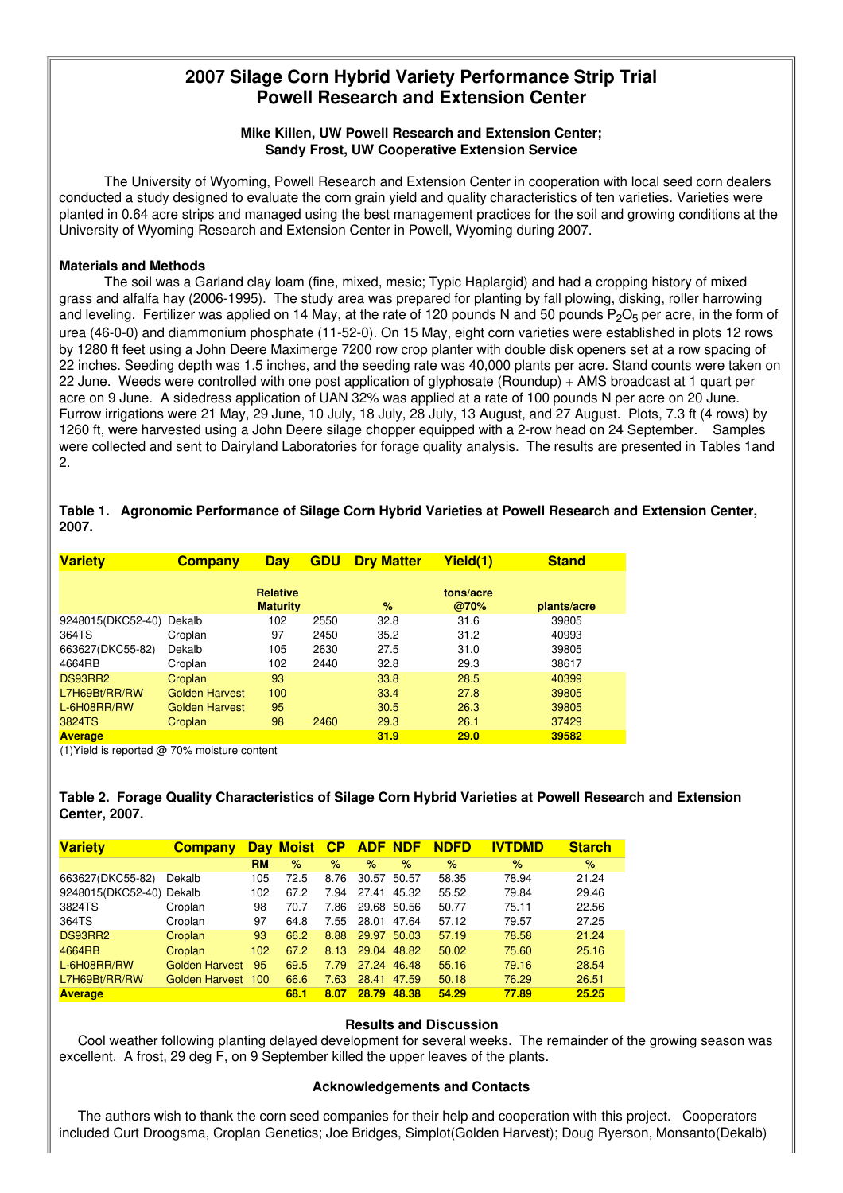# **2007 Silage Corn Hybrid Variety Performance Strip Trial Powell Research and Extension Center**

## **Mike Killen, UW Powell Research and Extension Center; Sandy Frost, UW Cooperative Extension Service**

The University of Wyoming, Powell Research and Extension Center in cooperation with local seed corn dealers conducted a study designed to evaluate the corn grain yield and quality characteristics of ten varieties. Varieties were planted in 0.64 acre strips and managed using the best management practices for the soil and growing conditions at the University of Wyoming Research and Extension Center in Powell, Wyoming during 2007.

#### **Materials and Methods**

The soil was a Garland clay loam (fine, mixed, mesic; Typic Haplargid) and had a cropping history of mixed grass and alfalfa hay (2006-1995). The study area was prepared for planting by fall plowing, disking, roller harrowing and leveling. Fertilizer was applied on 14 May, at the rate of 120 pounds N and 50 pounds  $P_2O_5$  per acre, in the form of urea (46-0-0) and diammonium phosphate (11-52-0). On 15 May, eight corn varieties were established in plots 12 rows by 1280 ft feet using a John Deere Maximerge 7200 row crop planter with double disk openers set at a row spacing of 22 inches. Seeding depth was 1.5 inches, and the seeding rate was 40,000 plants per acre. Stand counts were taken on 22 June. Weeds were controlled with one post application of glyphosate (Roundup) + AMS broadcast at 1 quart per acre on 9 June. A sidedress application of UAN 32% was applied at a rate of 100 pounds N per acre on 20 June. Furrow irrigations were 21 May, 29 June, 10 July, 18 July, 28 July, 13 August, and 27 August. Plots, 7.3 ft (4 rows) by 1260 ft, were harvested using a John Deere silage chopper equipped with a 2-row head on 24 September. Samples were collected and sent to Dairyland Laboratories for forage quality analysis. The results are presented in Tables 1and 2.

## **Table 1. Agronomic Performance of Silage Corn Hybrid Varieties at Powell Research and Extension Center, 2007.**

| <b>Variety</b>    | <b>Company</b>        | <b>Day</b>                         | <b>GDU</b> | <b>Dry Matter</b> | Yield(1)          | <b>Stand</b> |
|-------------------|-----------------------|------------------------------------|------------|-------------------|-------------------|--------------|
|                   |                       | <b>Relative</b><br><b>Maturity</b> |            | $\%$              | tons/acre<br>@70% | plants/acre  |
| 9248015(DKC52-40) | Dekalb                | 102                                | 2550       | 32.8              | 31.6              | 39805        |
| 364TS             | Croplan               | 97                                 | 2450       | 35.2              | 31.2              | 40993        |
| 663627(DKC55-82)  | Dekalb                | 105                                | 2630       | 27.5              | 31.0              | 39805        |
| 4664RB            | Croplan               | 102                                | 2440       | 32.8              | 29.3              | 38617        |
| DS93RR2           | Croplan               | 93                                 |            | 33.8              | 28.5              | 40399        |
| L7H69Bt/RR/RW     | <b>Golden Harvest</b> | 100                                |            | 33.4              | 27.8              | 39805        |
| L-6H08RR/RW       | <b>Golden Harvest</b> | 95                                 |            | 30.5              | 26.3              | 39805        |
| 3824TS            | Croplan               | 98                                 | 2460       | 29.3              | 26.1              | 37429        |
| <b>Average</b>    |                       |                                    |            | 31.9              | 29.0              | 39582        |

(1)Yield is reported @ 70% moisture content

## **Table 2. Forage Quality Characteristics of Silage Corn Hybrid Varieties at Powell Research and Extension Center, 2007.**

| <b>Variety</b>           | <b>Company</b>        | <b>Dav</b> | <b>Moist</b> | $\mathsf{C}\mathsf{P}$ |       | <b>ADF NDF</b> | <b>NDFD</b> | <b>IVTDMD</b> | <b>Starch</b> |
|--------------------------|-----------------------|------------|--------------|------------------------|-------|----------------|-------------|---------------|---------------|
|                          |                       | <b>RM</b>  | $\%$         | %                      | $\%$  | $\%$           | %           | $\%$          | %             |
| 663627(DKC55-82)         | Dekalb                | 105        | 72.5         | 8.76                   | 30.57 | 50.57          | 58.35       | 78.94         | 21.24         |
| 9248015(DKC52-40) Dekalb |                       | 102        | 67.2         | 7.94                   | 27.41 | 45.32          | 55.52       | 79.84         | 29.46         |
| 3824TS                   | Croplan               | 98         | 70.7         | 7.86                   | 29.68 | 50.56          | 50.77       | 75.11         | 22.56         |
| 364TS                    | Croplan               | 97         | 64.8         | 7.55                   | 28.01 | 47.64          | 57.12       | 79.57         | 27.25         |
| DS93RR2                  | Croplan               | 93         | 66.2         | 8.88                   | 29.97 | 50.03          | 57.19       | 78.58         | 21.24         |
| 4664RB                   | Croplan               | 102        | 67.2         | 8.13                   | 29.04 | 48.82          | 50.02       | 75.60         | 25.16         |
| L-6H08RR/RW              | <b>Golden Harvest</b> | 95         | 69.5         | 7.79                   | 27.24 | 46.48          | 55.16       | 79.16         | 28.54         |
| L7H69Bt/RR/RW            | Golden Harvest        | 100        | 66.6         | 7.63                   | 28.41 | 47.59          | 50.18       | 76.29         | 26.51         |
| <b>Average</b>           |                       |            | 68.1         | 8.07                   | 28.79 | 48.38          | 54.29       | 77.89         | 25.25         |

#### **Results and Discussion**

Cool weather following planting delayed development for several weeks. The remainder of the growing season was excellent. A frost, 29 deg F, on 9 September killed the upper leaves of the plants.

#### **Acknowledgements and Contacts**

The authors wish to thank the corn seed companies for their help and cooperation with this project. Cooperators included Curt Droogsma, Croplan Genetics; Joe Bridges, Simplot(Golden Harvest); Doug Ryerson, Monsanto(Dekalb)